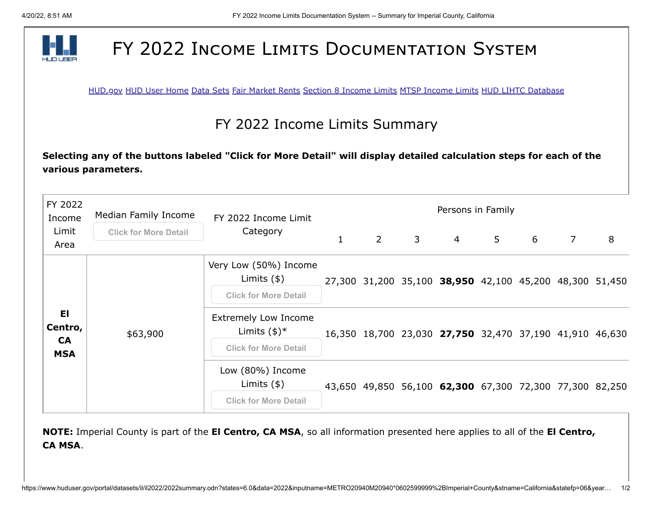

## FY 2022 INCOME LIMITS DOCUMENTATION SYSTEM

[HUD.gov](http://www.hud.gov/) [HUD User Home](http://www.huduser.org/portal/index.html) [Data Sets](http://www.huduser.org/portal/datasets/pdrdatas.html) [Fair Market Rents](http://www.huduser.org/portal/datasets/fmr.html) [Section 8 Income Limits](http://www.huduser.org/portal/datasets/il.html) [MTSP Income Limits](http://www.huduser.org/portal/datasets/mtsp.html) [HUD LIHTC Database](http://www.huduser.org/portal/datasets/lihtc.html)

## FY 2022 Income Limits Summary

**Selecting any of the buttons labeled "Click for More Detail" will display detailed calculation steps for each of the various parameters.**

| FY 2022<br>Income<br>Limit<br>Area        | Median Family Income         | FY 2022 Income Limit                                                                    | Persons in Family |                |              |                                                         |   |   |                |   |
|-------------------------------------------|------------------------------|-----------------------------------------------------------------------------------------|-------------------|----------------|--------------|---------------------------------------------------------|---|---|----------------|---|
|                                           | <b>Click for More Detail</b> | Category                                                                                |                   | $\overline{2}$ | $\mathsf{3}$ | $\overline{4}$                                          | 5 | 6 | $\overline{7}$ | 8 |
| EI.<br>Centro,<br><b>CA</b><br><b>MSA</b> | \$63,900                     | Very Low (50%) Income<br>Limits $(\$)$<br><b>Click for More Detail</b>                  |                   |                |              | 27,300 31,200 35,100 38,950 42,100 45,200 48,300 51,450 |   |   |                |   |
|                                           |                              | <b>Extremely Low Income</b><br>Limits $(\frac{1}{2})^*$<br><b>Click for More Detail</b> |                   |                |              | 16,350 18,700 23,030 27,750 32,470 37,190 41,910 46,630 |   |   |                |   |
|                                           |                              | Low (80%) Income<br>Limits $(\$)$                                                       |                   |                |              | 43,650 49,850 56,100 62,300 67,300 72,300 77,300 82,250 |   |   |                |   |
|                                           |                              | <b>Click for More Detail</b>                                                            |                   |                |              |                                                         |   |   |                |   |

**NOTE:** Imperial County is part of the **El Centro, CA MSA**, so all information presented here applies to all of the **El Centro, CA MSA**.